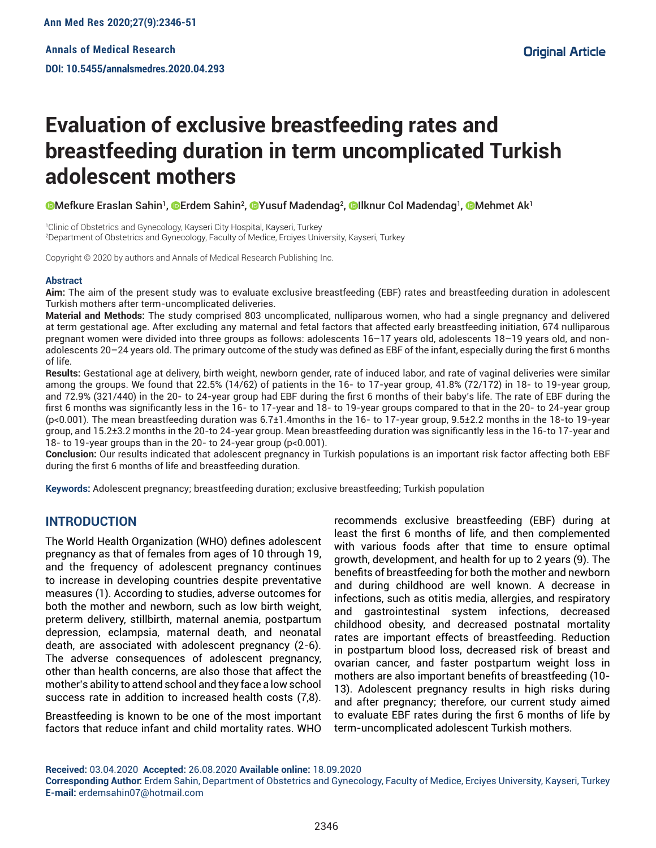# **Evaluation of exclusive breastfeeding rates and breastfeeding duration in term uncomplicated Turkish adolescent mothers**

Mefkure Eraslan Sahin<sup>1</sup>, **©**Erdem Sahin<sup>2</sup>, **©**[Y](http://orcid.org/0000-0002-7622-2991)usuf Madendag<sup>2</sup>, **©**Ilknur Col Madendag<sup>1</sup>, ©Mehmet Ak<sup>1</sup>

1 Clinic of Obstetrics and Gynecology, Kayseri City Hospital, Kayseri, Turkey 2 Department of Obstetrics and Gynecology, Faculty of Medice, Erciyes University, Kayseri, Turkey

Copyright © 2020 by authors and Annals of Medical Research Publishing Inc.

#### **Abstract**

**Aim:** The aim of the present study was to evaluate exclusive breastfeeding (EBF) rates and breastfeeding duration in adolescent Turkish mothers after term-uncomplicated deliveries.

**Material and Methods:** The study comprised 803 uncomplicated, nulliparous women, who had a single pregnancy and delivered at term gestational age. After excluding any maternal and fetal factors that affected early breastfeeding initiation, 674 nulliparous pregnant women were divided into three groups as follows: adolescents 16–17 years old, adolescents 18–19 years old, and nonadolescents 20–24 years old. The primary outcome of the study was defined as EBF of the infant, especially during the first 6 months of life.

**Results:** Gestational age at delivery, birth weight, newborn gender, rate of induced labor, and rate of vaginal deliveries were similar among the groups. We found that 22.5% (14/62) of patients in the 16- to 17-year group, 41.8% (72/172) in 18- to 19-year group, and 72.9% (321/440) in the 20- to 24-year group had EBF during the first 6 months of their baby's life. The rate of EBF during the first 6 months was significantly less in the 16- to 17-year and 18- to 19-year groups compared to that in the 20- to 24-year group (p<0.001). The mean breastfeeding duration was 6.7±1.4months in the 16- to 17-year group, 9.5±2.2 months in the 18-to 19-year group, and 15.2±3.2 months in the 20-to 24-year group. Mean breastfeeding duration was significantly less in the 16-to 17-year and 18- to 19-year groups than in the 20- to 24-year group (p<0.001).

**Conclusion:** Our results indicated that adolescent pregnancy in Turkish populations is an important risk factor affecting both EBF during the first 6 months of life and breastfeeding duration.

**Keywords:** Adolescent pregnancy; breastfeeding duration; exclusive breastfeeding; Turkish population

## **INTRODUCTION**

The World Health Organization (WHO) defines adolescent pregnancy as that of females from ages of 10 through 19, and the frequency of adolescent pregnancy continues to increase in developing countries despite preventative measures (1). According to studies, adverse outcomes for both the mother and newborn, such as low birth weight, preterm delivery, stillbirth, maternal anemia, postpartum depression, eclampsia, maternal death, and neonatal death, are associated with adolescent pregnancy (2-6). The adverse consequences of adolescent pregnancy, other than health concerns, are also those that affect the mother's ability to attend school and they face a low school success rate in addition to increased health costs (7,8).

Breastfeeding is known to be one of the most important factors that reduce infant and child mortality rates. WHO

recommends exclusive breastfeeding (EBF) during at least the first 6 months of life, and then complemented with various foods after that time to ensure optimal growth, development, and health for up to 2 years (9). The benefits of breastfeeding for both the mother and newborn and during childhood are well known. A decrease in infections, such as otitis media, allergies, and respiratory and gastrointestinal system infections, decreased childhood obesity, and decreased postnatal mortality rates are important effects of breastfeeding. Reduction in postpartum blood loss, decreased risk of breast and ovarian cancer, and faster postpartum weight loss in mothers are also important benefits of breastfeeding (10- 13). Adolescent pregnancy results in high risks during and after pregnancy; therefore, our current study aimed to evaluate EBF rates during the first 6 months of life by term-uncomplicated adolescent Turkish mothers.

**Received:** 03.04.2020 **Accepted:** 26.08.2020 **Available online:** 18.09.2020

**Corresponding Author:** Erdem Sahin, Department of Obstetrics and Gynecology, Faculty of Medice, Erciyes University, Kayseri, Turkey **E-mail:** erdemsahin07@hotmail.com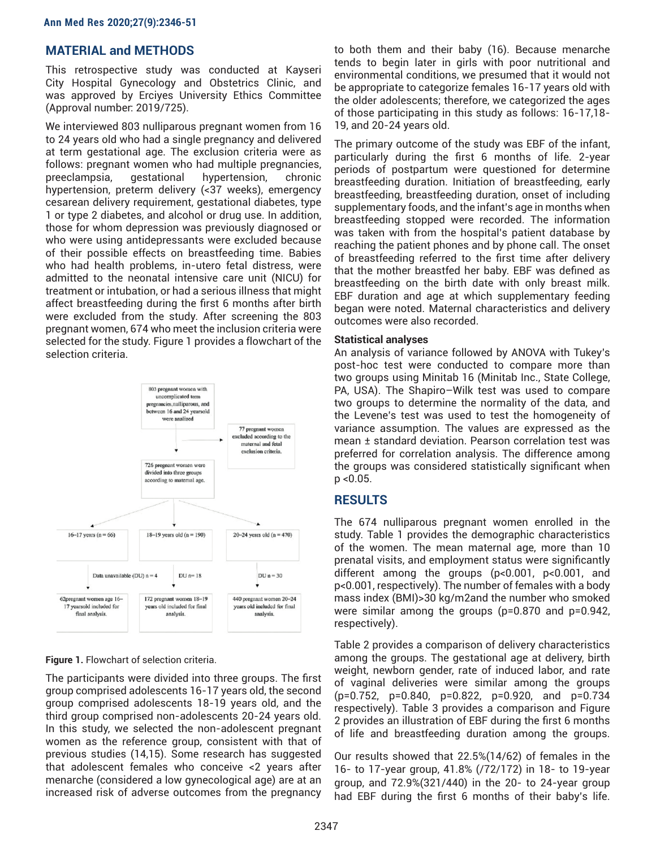# **MATERIAL and METHODS**

This retrospective study was conducted at Kayseri City Hospital Gynecology and Obstetrics Clinic, and was approved by Erciyes University Ethics Committee (Approval number: 2019/725).

We interviewed 803 nulliparous pregnant women from 16 to 24 years old who had a single pregnancy and delivered at term gestational age. The exclusion criteria were as follows: pregnant women who had multiple pregnancies, preeclampsia, gestational hypertension, chronic hypertension, preterm delivery (<37 weeks), emergency cesarean delivery requirement, gestational diabetes, type 1 or type 2 diabetes, and alcohol or drug use. In addition, those for whom depression was previously diagnosed or who were using antidepressants were excluded because of their possible effects on breastfeeding time. Babies who had health problems, in-utero fetal distress, were admitted to the neonatal intensive care unit (NICU) for treatment or intubation, or had a serious illness that might affect breastfeeding during the first 6 months after birth were excluded from the study. After screening the 803 pregnant women, 674 who meet the inclusion criteria were selected for the study. Figure 1 provides a flowchart of the selection criteria.



#### **Figure 1.** Flowchart of selection criteria.

The participants were divided into three groups. The first group comprised adolescents 16-17 years old, the second group comprised adolescents 18-19 years old, and the third group comprised non-adolescents 20-24 years old. In this study, we selected the non-adolescent pregnant women as the reference group, consistent with that of previous studies (14,15). Some research has suggested that adolescent females who conceive <2 years after menarche (considered a low gynecological age) are at an increased risk of adverse outcomes from the pregnancy

to both them and their baby (16). Because menarche tends to begin later in girls with poor nutritional and environmental conditions, we presumed that it would not be appropriate to categorize females 16-17 years old with the older adolescents; therefore, we categorized the ages of those participating in this study as follows: 16-17,18- 19, and 20-24 years old.

The primary outcome of the study was EBF of the infant, particularly during the first 6 months of life. 2-year periods of postpartum were questioned for determine breastfeeding duration. Initiation of breastfeeding, early breastfeeding, breastfeeding duration, onset of including supplementary foods, and the infant's age in months when breastfeeding stopped were recorded. The information was taken with from the hospital's patient database by reaching the patient phones and by phone call. The onset of breastfeeding referred to the first time after delivery that the mother breastfed her baby. EBF was defined as breastfeeding on the birth date with only breast milk. EBF duration and age at which supplementary feeding began were noted. Maternal characteristics and delivery outcomes were also recorded.

#### **Statistical analyses**

An analysis of variance followed by ANOVA with Tukey's post-hoc test were conducted to compare more than two groups using Minitab 16 (Minitab Inc., State College, PA, USA). The Shapiro–Wilk test was used to compare two groups to determine the normality of the data, and the Levene's test was used to test the homogeneity of variance assumption. The values are expressed as the mean ± standard deviation. Pearson correlation test was preferred for correlation analysis. The difference among the groups was considered statistically significant when p <0.05.

## **RESULTS**

The 674 nulliparous pregnant women enrolled in the study. Table 1 provides the demographic characteristics of the women. The mean maternal age, more than 10 prenatal visits, and employment status were significantly different among the groups (p<0.001, p<0.001, and p<0.001, respectively). The number of females with a body mass index (BMI)>30 kg/m2and the number who smoked were similar among the groups (p=0.870 and p=0.942, respectively).

Table 2 provides a comparison of delivery characteristics among the groups. The gestational age at delivery, birth weight, newborn gender, rate of induced labor, and rate of vaginal deliveries were similar among the groups (p=0.752, p=0.840, p=0.822, p=0.920, and p=0.734 respectively). Table 3 provides a comparison and Figure 2 provides an illustration of EBF during the first 6 months of life and breastfeeding duration among the groups.

Our results showed that 22.5%(14/62) of females in the 16- to 17-year group, 41.8% (/72/172) in 18- to 19-year group, and 72.9%(321/440) in the 20- to 24-year group had EBF during the first 6 months of their baby's life.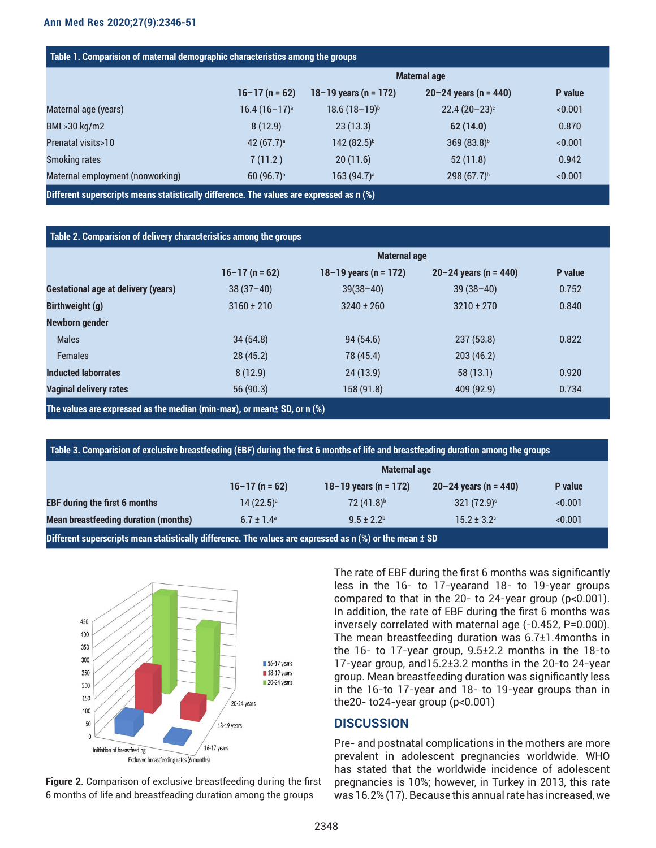## **Ann Med Res 2020;27(9):2346-51**

| Table 1. Comparision of maternal demographic characteristics among the groups                                    |                         |                           |                            |         |  |  |  |
|------------------------------------------------------------------------------------------------------------------|-------------------------|---------------------------|----------------------------|---------|--|--|--|
|                                                                                                                  |                         | <b>Maternal age</b>       |                            |         |  |  |  |
|                                                                                                                  | $16 - 17$ (n = 62)      | $18 - 19$ years (n = 172) | $20 - 24$ years (n = 440)  | P value |  |  |  |
| Maternal age (years)                                                                                             | $16.4(16-17)a$          | $18.6(18-19)^{b}$         | $22.4(20-23)$ <sup>c</sup> | < 0.001 |  |  |  |
| BMI >30 kg/m2                                                                                                    | 8(12.9)                 | 23(13.3)                  | 62(14.0)                   | 0.870   |  |  |  |
| <b>Prenatal visits&gt;10</b>                                                                                     | 42 $(67.7)^a$           | $142 (82.5)^{b}$          | 369 (83.8) <sup>b</sup>    | < 0.001 |  |  |  |
| <b>Smoking rates</b>                                                                                             | 7(11.2)                 | 20(11.6)                  | 52(11.8)                   | 0.942   |  |  |  |
| Maternal employment (nonworking)                                                                                 | $60(96.7)$ <sup>a</sup> | 163 (94.7) <sup>a</sup>   | 298 (67.7) <sup>b</sup>    | < 0.001 |  |  |  |
| $\mathsf{Diff}$ orant qunoroqrinta moong atotiotiqally difference. The values are expressed as n $\mathsf{P}(2)$ |                         |                           |                            |         |  |  |  |

**Different superscripts means statistically difference. The values are expressed as n (%)**

## **Table 2. Comparision of delivery characteristics among the groups**

|                                                                                            | <b>Maternal age</b> |                           |                           |         |  |  |
|--------------------------------------------------------------------------------------------|---------------------|---------------------------|---------------------------|---------|--|--|
|                                                                                            | $16 - 17$ (n = 62)  | $18 - 19$ years (n = 172) | $20 - 24$ years (n = 440) | P value |  |  |
| <b>Gestational age at delivery (years)</b>                                                 | $38(37-40)$         | $39(38 - 40)$             | $39(38-40)$               | 0.752   |  |  |
| Birthweight (g)                                                                            | $3160 \pm 210$      | $3240 \pm 260$            | $3210 \pm 270$            | 0.840   |  |  |
| Newborn gender                                                                             |                     |                           |                           |         |  |  |
| <b>Males</b>                                                                               | 34(54.8)            | 94(54.6)                  | 237(53.8)                 | 0.822   |  |  |
| <b>Females</b>                                                                             | 28(45.2)            | 78 (45.4)                 | 203(46.2)                 |         |  |  |
| <b>Inducted laborrates</b>                                                                 | 8(12.9)             | 24(13.9)                  | 58(13.1)                  | 0.920   |  |  |
| <b>Vaginal delivery rates</b>                                                              | 56(90.3)            | 158 (91.8)                | 409 (92.9)                | 0.734   |  |  |
| The values are expressed as the median (min-max), or mean $\pm$ SD, or n $\left(\%\right)$ |                     |                           |                           |         |  |  |

| Table 3. Comparision of exclusive breastfeeding (EBF) during the first 6 months of life and breastfeading duration among the groups |                         |                       |                           |         |  |  |  |
|-------------------------------------------------------------------------------------------------------------------------------------|-------------------------|-----------------------|---------------------------|---------|--|--|--|
|                                                                                                                                     | <b>Maternal age</b>     |                       |                           |         |  |  |  |
|                                                                                                                                     | $16 - 17$ (n = 62)      | 18–19 years (n = 172) | $20 - 24$ years (n = 440) | P value |  |  |  |
| <b>EBF during the first 6 months</b>                                                                                                | $14(22.5)$ <sup>a</sup> | $72(41.8)^{b}$        | $321(72.9)$ <sup>c</sup>  | < 0.001 |  |  |  |
| <b>Mean breastfeeding duration (months)</b>                                                                                         | $6.7 \pm 1.4^{\circ}$   | $9.5 + 2.2b$          | $15.2 + 3.2$ °            | < 0.001 |  |  |  |
|                                                                                                                                     |                         |                       |                           |         |  |  |  |

**Different superscripts mean statistically difference. The values are expressed as n (%) or the mean ± SD**



**Figure 2**. Comparison of exclusive breastfeeding during the first 6 months of life and breastfeading duration among the groups

The rate of EBF during the first 6 months was significantly less in the 16- to 17-yearand 18- to 19-year groups compared to that in the 20- to 24-year group (p<0.001). In addition, the rate of EBF during the first 6 months was inversely correlated with maternal age (-0.452, P=0.000). The mean breastfeeding duration was 6.7±1.4months in the 16- to 17-year group, 9.5±2.2 months in the 18-to 17-year group, and15.2±3.2 months in the 20-to 24-year group. Mean breastfeeding duration was significantly less in the 16-to 17-year and 18- to 19-year groups than in the 20- to  $24$ -year group (p< $0.001$ )

## **DISCUSSION**

Pre- and postnatal complications in the mothers are more prevalent in adolescent pregnancies worldwide. WHO has stated that the worldwide incidence of adolescent pregnancies is 10%; however, in Turkey in 2013, this rate was 16.2% (17). Because this annual rate has increased, we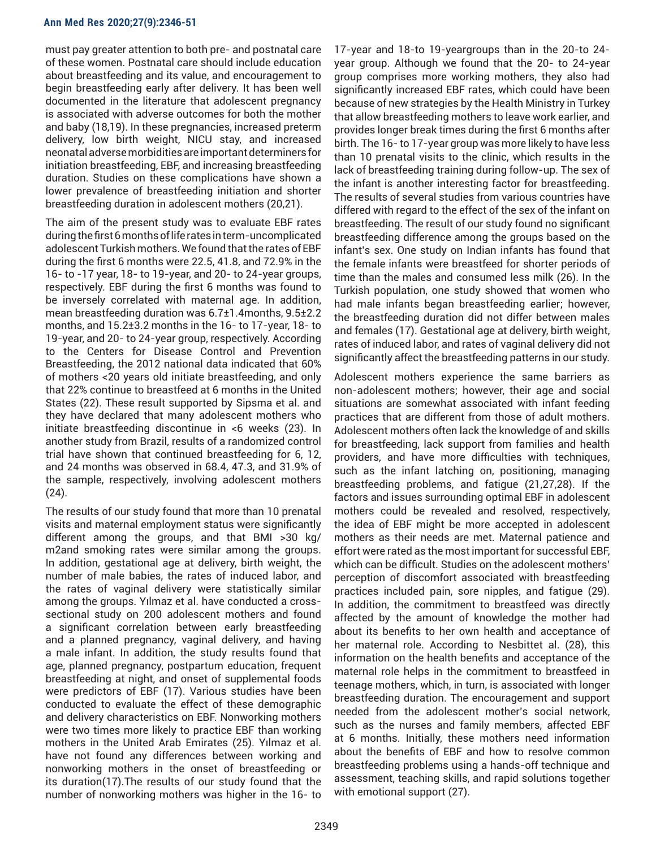#### **Ann Med Res 2020;27(9):2346-51**

must pay greater attention to both pre- and postnatal care of these women. Postnatal care should include education about breastfeeding and its value, and encouragement to begin breastfeeding early after delivery. It has been well documented in the literature that adolescent pregnancy is associated with adverse outcomes for both the mother and baby (18,19). In these pregnancies, increased preterm delivery, low birth weight, NICU stay, and increased neonatal adverse morbidities are important determiners for initiation breastfeeding, EBF, and increasing breastfeeding duration. Studies on these complications have shown a lower prevalence of breastfeeding initiation and shorter breastfeeding duration in adolescent mothers (20,21).

The aim of the present study was to evaluate EBF rates during the first 6 months of life rates in term-uncomplicated adolescent Turkish mothers. We found that the rates of EBF during the first 6 months were 22.5, 41.8, and 72.9% in the 16- to -17 year, 18- to 19-year, and 20- to 24-year groups, respectively. EBF during the first 6 months was found to be inversely correlated with maternal age. In addition, mean breastfeeding duration was 6.7±1.4months, 9.5±2.2 months, and 15.2±3.2 months in the 16- to 17-year, 18- to 19-year, and 20- to 24-year group, respectively. According to the Centers for Disease Control and Prevention Breastfeeding, the 2012 national data indicated that 60% of mothers <20 years old initiate breastfeeding, and only that 22% continue to breastfeed at 6 months in the United States (22). These result supported by Sipsma et al. and they have declared that many adolescent mothers who initiate breastfeeding discontinue in <6 weeks (23). In another study from Brazil, results of a randomized control trial have shown that continued breastfeeding for 6, 12, and 24 months was observed in 68.4, 47.3, and 31.9% of the sample, respectively, involving adolescent mothers (24).

The results of our study found that more than 10 prenatal visits and maternal employment status were significantly different among the groups, and that BMI >30 kg/ m2and smoking rates were similar among the groups. In addition, gestational age at delivery, birth weight, the number of male babies, the rates of induced labor, and the rates of vaginal delivery were statistically similar among the groups. Yılmaz et al. have conducted a crosssectional study on 200 adolescent mothers and found a significant correlation between early breastfeeding and a planned pregnancy, vaginal delivery, and having a male infant. In addition, the study results found that age, planned pregnancy, postpartum education, frequent breastfeeding at night, and onset of supplemental foods were predictors of EBF (17). Various studies have been conducted to evaluate the effect of these demographic and delivery characteristics on EBF. Nonworking mothers were two times more likely to practice EBF than working mothers in the United Arab Emirates (25). Yılmaz et al. have not found any differences between working and nonworking mothers in the onset of breastfeeding or its duration(17).The results of our study found that the number of nonworking mothers was higher in the 16- to

17-year and 18-to 19-yeargroups than in the 20-to 24 year group. Although we found that the 20- to 24-year group comprises more working mothers, they also had significantly increased EBF rates, which could have been because of new strategies by the Health Ministry in Turkey that allow breastfeeding mothers to leave work earlier, and provides longer break times during the first 6 months after birth. The 16- to 17-year group was more likely to have less than 10 prenatal visits to the clinic, which results in the lack of breastfeeding training during follow-up. The sex of the infant is another interesting factor for breastfeeding. The results of several studies from various countries have differed with regard to the effect of the sex of the infant on breastfeeding. The result of our study found no significant breastfeeding difference among the groups based on the infant's sex. One study on Indian infants has found that the female infants were breastfeed for shorter periods of time than the males and consumed less milk (26). In the Turkish population, one study showed that women who had male infants began breastfeeding earlier; however, the breastfeeding duration did not differ between males and females (17). Gestational age at delivery, birth weight, rates of induced labor, and rates of vaginal delivery did not significantly affect the breastfeeding patterns in our study.

Adolescent mothers experience the same barriers as non-adolescent mothers; however, their age and social situations are somewhat associated with infant feeding practices that are different from those of adult mothers. Adolescent mothers often lack the knowledge of and skills for breastfeeding, lack support from families and health providers, and have more difficulties with techniques, such as the infant latching on, positioning, managing breastfeeding problems, and fatigue (21,27,28). If the factors and issues surrounding optimal EBF in adolescent mothers could be revealed and resolved, respectively, the idea of EBF might be more accepted in adolescent mothers as their needs are met. Maternal patience and effort were rated as the most important for successful EBF, which can be difficult. Studies on the adolescent mothers' perception of discomfort associated with breastfeeding practices included pain, sore nipples, and fatigue (29). In addition, the commitment to breastfeed was directly affected by the amount of knowledge the mother had about its benefits to her own health and acceptance of her maternal role. According to Nesbittet al. (28), this information on the health benefits and acceptance of the maternal role helps in the commitment to breastfeed in teenage mothers, which, in turn, is associated with longer breastfeeding duration. The encouragement and support needed from the adolescent mother's social network, such as the nurses and family members, affected EBF at 6 months. Initially, these mothers need information about the benefits of EBF and how to resolve common breastfeeding problems using a hands-off technique and assessment, teaching skills, and rapid solutions together with emotional support (27).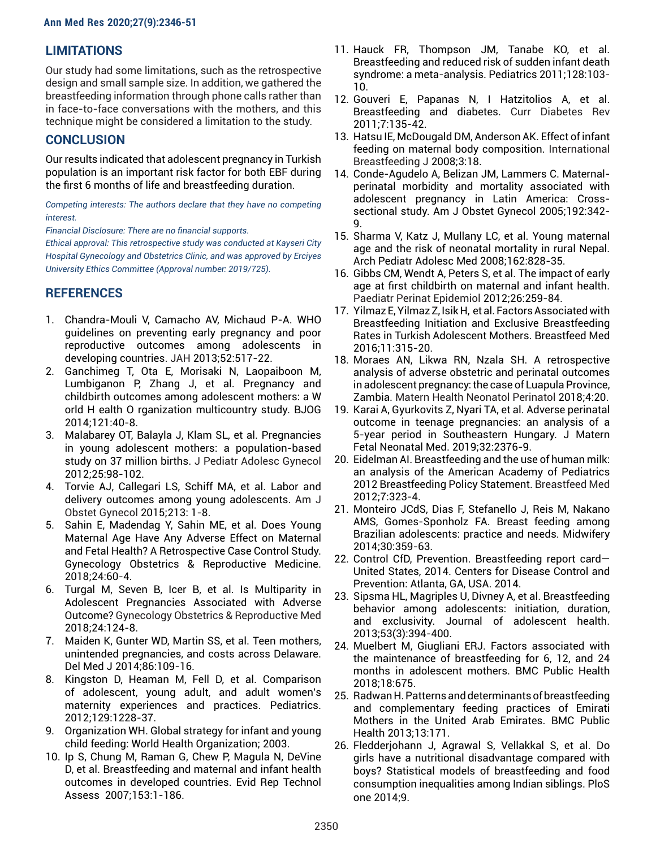# **LIMITATIONS**

Our study had some limitations, such as the retrospective design and small sample size. In addition, we gathered the breastfeeding information through phone calls rather than in face-to-face conversations with the mothers, and this technique might be considered a limitation to the study.

# **CONCLUSION**

Our results indicated that adolescent pregnancy in Turkish population is an important risk factor for both EBF during the first 6 months of life and breastfeeding duration.

*Competing interests: The authors declare that they have no competing interest.*

*Financial Disclosure: There are no financial supports.*

*Ethical approval: This retrospective study was conducted at Kayseri City Hospital Gynecology and Obstetrics Clinic, and was approved by Erciyes University Ethics Committee (Approval number: 2019/725).* 

# **REFERENCES**

- 1. Chandra-Mouli V, Camacho AV, Michaud P-A. WHO guidelines on preventing early pregnancy and poor reproductive outcomes among adolescents in developing countries. JAH 2013;52:517-22.
- 2. Ganchimeg T, Ota E, Morisaki N, Laopaiboon M, Lumbiganon P, Zhang J, et al. Pregnancy and childbirth outcomes among adolescent mothers: a W orld H ealth O rganization multicountry study. BJOG 2014;121:40-8.
- 3. Malabarey OT, Balayla J, Klam SL, et al. Pregnancies in young adolescent mothers: a population-based study on 37 million births. J Pediatr Adolesc Gynecol 2012;25:98-102.
- 4. Torvie AJ, Callegari LS, Schiff MA, et al. Labor and delivery outcomes among young adolescents. Am J Obstet Gynecol 2015;213: 1-8.
- 5. Sahin E, Madendag Y, Sahin ME, et al. Does Young Maternal Age Have Any Adverse Effect on Maternal and Fetal Health? A Retrospective Case Control Study. Gynecology Obstetrics & Reproductive Medicine. 2018;24:60-4.
- 6. Turgal M, Seven B, Icer B, et al. Is Multiparity in Adolescent Pregnancies Associated with Adverse Outcome? Gynecology Obstetrics & Reproductive Med 2018;24:124-8.
- 7. Maiden K, Gunter WD, Martin SS, et al. Teen mothers, unintended pregnancies, and costs across Delaware. Del Med J 2014;86:109-16.
- 8. Kingston D, Heaman M, Fell D, et al. Comparison of adolescent, young adult, and adult women's maternity experiences and practices. Pediatrics. 2012;129:1228-37.
- 9. Organization WH. Global strategy for infant and young child feeding: World Health Organization; 2003.
- 10. Ip S, Chung M, Raman G, Chew P, Magula N, DeVine D, et al. Breastfeeding and maternal and infant health outcomes in developed countries. Evid Rep Technol Assess 2007;153:1-186.
- 11. Hauck FR, Thompson JM, Tanabe KO, et al. Breastfeeding and reduced risk of sudden infant death syndrome: a meta-analysis. Pediatrics 2011;128:103- 10.
- 12. Gouveri E, Papanas N, I Hatzitolios A, et al. Breastfeeding and diabetes. Curr Diabetes Rev 2011;7:135-42.
- 13. Hatsu IE, McDougald DM, Anderson AK. Effect of infant feeding on maternal body composition. International Breastfeeding J 2008;3:18.
- 14. Conde-Agudelo A, Belizan JM, Lammers C. Maternalperinatal morbidity and mortality associated with adolescent pregnancy in Latin America: Crosssectional study. Am J Obstet Gynecol 2005;192:342- 9.
- 15. Sharma V, Katz J, Mullany LC, et al. Young maternal age and the risk of neonatal mortality in rural Nepal. Arch Pediatr Adolesc Med 2008;162:828-35.
- 16. Gibbs CM, Wendt A, Peters S, et al. The impact of early age at first childbirth on maternal and infant health. Paediatr Perinat Epidemiol 2012;26:259-84.
- 17. Yilmaz E, Yilmaz Z, Isik H, et al. Factors Associated with Breastfeeding Initiation and Exclusive Breastfeeding Rates in Turkish Adolescent Mothers. Breastfeed Med 2016;11:315-20.
- 18. Moraes AN, Likwa RN, Nzala SH. A retrospective analysis of adverse obstetric and perinatal outcomes in adolescent pregnancy: the case of Luapula Province, Zambia. Matern Health Neonatol Perinatol 2018;4:20.
- 19. Karai A, Gyurkovits Z, Nyari TA, et al. Adverse perinatal outcome in teenage pregnancies: an analysis of a 5-year period in Southeastern Hungary. J Matern Fetal Neonatal Med. 2019;32:2376-9.
- 20. Eidelman AI. Breastfeeding and the use of human milk: an analysis of the American Academy of Pediatrics 2012 Breastfeeding Policy Statement. Breastfeed Med 2012;7:323-4.
- 21. Monteiro JCdS, Dias F, Stefanello J, Reis M, Nakano AMS, Gomes-Sponholz FA. Breast feeding among Brazilian adolescents: practice and needs. Midwifery 2014;30:359-63.
- 22. Control CfD, Prevention. Breastfeeding report card— United States, 2014. Centers for Disease Control and Prevention: Atlanta, GA, USA. 2014.
- 23. Sipsma HL, Magriples U, Divney A, et al. Breastfeeding behavior among adolescents: initiation, duration, and exclusivity. Journal of adolescent health. 2013;53(3):394-400.
- 24. Muelbert M, Giugliani ERJ. Factors associated with the maintenance of breastfeeding for 6, 12, and 24 months in adolescent mothers. BMC Public Health 2018;18:675.
- 25. Radwan H. Patterns and determinants of breastfeeding and complementary feeding practices of Emirati Mothers in the United Arab Emirates. BMC Public Health 2013;13:171.
- 26. Fledderjohann J, Agrawal S, Vellakkal S, et al. Do girls have a nutritional disadvantage compared with boys? Statistical models of breastfeeding and food consumption inequalities among Indian siblings. PloS one 2014;9.